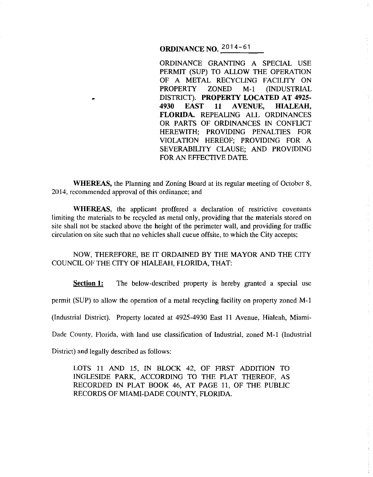# **ORDINANCE NO.** 2014-61

ORDINANCE GRANTING A SPECIAL USE PERMIT (SUP) TO ALLOW THE OPERATION OF A METAL RECYCLING FACILITY ON PROPERTY ZONED M-1 (INDUSTRIAL DISTRICT). **PROPERTY LOCATED AT 4925- 4930 EAST 11 A VENUE, HIALEAH, FLORIDA.** REPEALING ALL ORDINANCES OR PARTS OF ORDINANCES IN CONFLICT HEREWITH; PROVIDING PENALTIES FOR VIOLATION HEREOF; PROVIDING FOR A SEVERABILITY CLAUSE; AND PROVIDING FOR AN EFFECTIVE DATE.

 $\frac{1}{4}$ 

**WHEREAS,** the Planning and Zoning Board at its regular meeting of October 8, 2014, recommended approval of this ordinance; and

WHEREAS, the applicant proffered a declaration of restrictive covenants limiting the materials to be recycled as metal only, providing that the materials stored on site shall not be stacked above the height of the perimeter wall, and providing for traffic circulation on site such that no vehicles shall cueue offsite, to which the City accepts;

NOW, THEREFORE, BE IT ORDAINED BY THE MAYOR AND THE CITY COUNCIL OF THE CITY OF HIALEAH, FLORIDA, THAT:

**Section 1:** The below-described property is hereby granted a special use permit (SUP) to allow the operation of a metal recycling facility on property zoned M-1 (Industrial District). Property located at 4925-4930 East 11 Avenue, Hialeah, Miami-Dade County, Florida, with land use classification of Industrial, zoned M-1 (Industrial District) and legally described as follows:

LOTS 11 AND 15, IN BLOCK 42, OF FIRST ADDITION TO INGLESIDE PARK, ACCORDING TO THE PLAT THEREOF, AS RECORDED IN PLAT BOOK 46, AT PAGE 11, OF THE PUBLIC RECORDS OF MIAMI-DADE COUNTY, FLORIDA.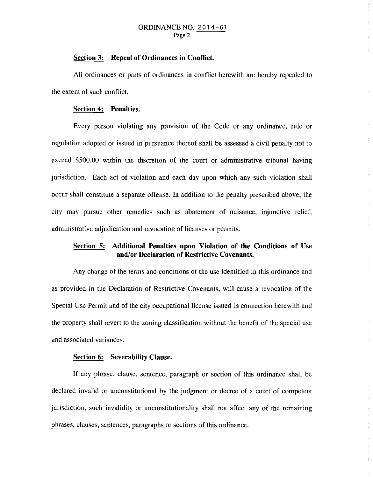#### ORDINANCE NO. 2014-61 Page 2

### **Section 3: Repeal of Ordinances in Conflict.**

All ordinances or parts of ordinances in conflict herewith are hereby repealed to the extent of such conflict.

#### **Section 4: Penalties.**

Every person violating any provision of the Code or any ordinance, rule or regulation adopted or issued in pursuance thereof shall be assessed a civil penalty not to exceed \$500.00 within the discretion of the court or administrative tribunal having jurisdiction. Each act of violation and each day upon which any such violation shall occur shall constitute a separate offense. In addition to the penalty prescribed above, the city may pursue other remedies such as abatement of nuisance, injunctive relief, administrative adjudication and revocation of licenses or permits.

## **Section 5: Additional Penalties upon Violation of the Conditions of** Use **and/or Declaration of Restrictive Covenants.**

Any change of the terms and conditions of the use identified in this ordinance and as provided in the Declaration of Restrictive Covenants, will cause a revocation of the Special Use Permit and of the city occupational license issued in connection herewith and the property shall revert to the zoning classification without the benefit of the special use and associated variances.

Å

#### **Section 6: Severability Clause.**

If any phrase, clause, sentence, paragraph or section of this ordinance shall be declared invalid or unconstitutional by the judgment or decree of a court of competent jurisdiction, such invalidity or unconstitutionality shall not affect any of the remaining phrases, clauses, sentences, paragraphs or sections of this ordinance.